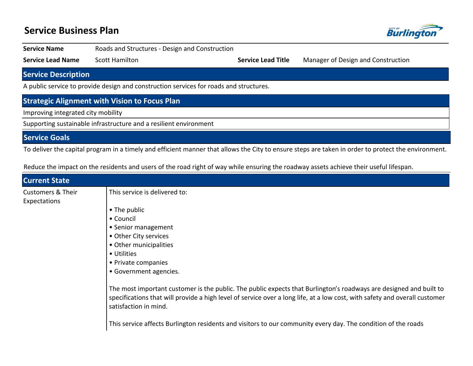# **Service Business Plan**



| <b>Service Name</b>                                                                    | Roads and Structures - Design and Construction |                           |                                    |  |  |
|----------------------------------------------------------------------------------------|------------------------------------------------|---------------------------|------------------------------------|--|--|
| <b>Service Lead Name</b>                                                               | <b>Scott Hamilton</b>                          | <b>Service Lead Title</b> | Manager of Design and Construction |  |  |
| <b>Service Description</b>                                                             |                                                |                           |                                    |  |  |
| A public service to provide design and construction services for roads and structures. |                                                |                           |                                    |  |  |
| <b>Strategic Alignment with Vision to Focus Plan</b>                                   |                                                |                           |                                    |  |  |
| Improving integrated city mobility                                                     |                                                |                           |                                    |  |  |
| Supporting sustainable infrastructure and a resilient environment                      |                                                |                           |                                    |  |  |

**Service Goals**

To deliver the capital program in a timely and efficient manner that allows the City to ensure steps are taken in order to protect the environment.

| <b>Current State</b>                         |                                                                                                                                                                                                                                                                                                                                                                                            |
|----------------------------------------------|--------------------------------------------------------------------------------------------------------------------------------------------------------------------------------------------------------------------------------------------------------------------------------------------------------------------------------------------------------------------------------------------|
| <b>Customers &amp; Their</b><br>Expectations | This service is delivered to:                                                                                                                                                                                                                                                                                                                                                              |
|                                              | • The public<br>• Council<br>• Senior management<br>• Other City services<br>• Other municipalities<br>• Utilities<br>• Private companies<br>• Government agencies.                                                                                                                                                                                                                        |
|                                              | The most important customer is the public. The public expects that Burlington's roadways are designed and built to<br>specifications that will provide a high level of service over a long life, at a low cost, with safety and overall customer<br>satisfaction in mind.<br>This service affects Burlington residents and visitors to our community every day. The condition of the roads |

Reduce the impact on the residents and users of the road right of way while ensuring the roadway assets achieve their useful lifespan.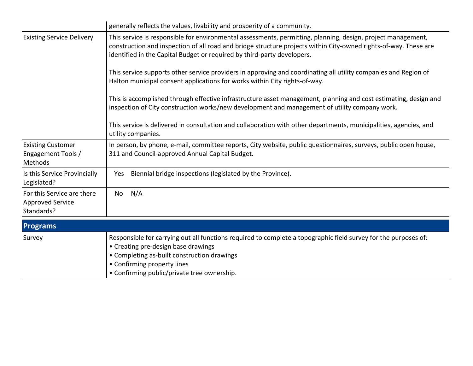|                                                                     | generally reflects the values, livability and prosperity of a community.                                                                                                                                                                                                                                    |  |  |  |  |
|---------------------------------------------------------------------|-------------------------------------------------------------------------------------------------------------------------------------------------------------------------------------------------------------------------------------------------------------------------------------------------------------|--|--|--|--|
| <b>Existing Service Delivery</b>                                    | This service is responsible for environmental assessments, permitting, planning, design, project management,<br>construction and inspection of all road and bridge structure projects within City-owned rights-of-way. These are<br>identified in the Capital Budget or required by third-party developers. |  |  |  |  |
|                                                                     | This service supports other service providers in approving and coordinating all utility companies and Region of<br>Halton municipal consent applications for works within City rights-of-way.                                                                                                               |  |  |  |  |
|                                                                     | This is accomplished through effective infrastructure asset management, planning and cost estimating, design and<br>inspection of City construction works/new development and management of utility company work.                                                                                           |  |  |  |  |
|                                                                     | This service is delivered in consultation and collaboration with other departments, municipalities, agencies, and<br>utility companies.                                                                                                                                                                     |  |  |  |  |
| <b>Existing Customer</b><br>Engagement Tools /<br>Methods           | In person, by phone, e-mail, committee reports, City website, public questionnaires, surveys, public open house,<br>311 and Council-approved Annual Capital Budget.                                                                                                                                         |  |  |  |  |
| Is this Service Provincially<br>Legislated?                         | Biennial bridge inspections (legislated by the Province).<br>Yes                                                                                                                                                                                                                                            |  |  |  |  |
| For this Service are there<br><b>Approved Service</b><br>Standards? | N/A<br>No                                                                                                                                                                                                                                                                                                   |  |  |  |  |
| <b>Programs</b>                                                     |                                                                                                                                                                                                                                                                                                             |  |  |  |  |
| Survey                                                              | Responsible for carrying out all functions required to complete a topographic field survey for the purposes of:<br>• Creating pre-design base drawings<br>• Completing as-built construction drawings                                                                                                       |  |  |  |  |

- **Confirming property lines**
- **Confirming public/private tree ownership.**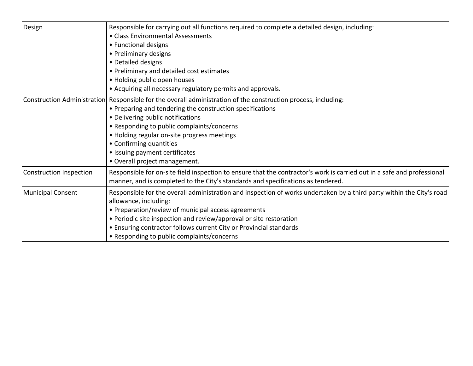| Design                         | Responsible for carrying out all functions required to complete a detailed design, including:<br>• Class Environmental Assessments<br>• Functional designs<br>• Preliminary designs<br>• Detailed designs<br>• Preliminary and detailed cost estimates<br>• Holding public open houses<br>• Acquiring all necessary regulatory permits and approvals.                                                       |
|--------------------------------|-------------------------------------------------------------------------------------------------------------------------------------------------------------------------------------------------------------------------------------------------------------------------------------------------------------------------------------------------------------------------------------------------------------|
|                                | Construction Administration Responsible for the overall administration of the construction process, including:<br>• Preparing and tendering the construction specifications<br>• Delivering public notifications<br>• Responding to public complaints/concerns<br>• Holding regular on-site progress meetings<br>• Confirming quantities<br>• Issuing payment certificates<br>• Overall project management. |
| <b>Construction Inspection</b> | Responsible for on-site field inspection to ensure that the contractor's work is carried out in a safe and professional<br>manner, and is completed to the City's standards and specifications as tendered.                                                                                                                                                                                                 |
| <b>Municipal Consent</b>       | Responsible for the overall administration and inspection of works undertaken by a third party within the City's road<br>allowance, including:<br>• Preparation/review of municipal access agreements<br>• Periodic site inspection and review/approval or site restoration<br>• Ensuring contractor follows current City or Provincial standards<br>• Responding to public complaints/concerns             |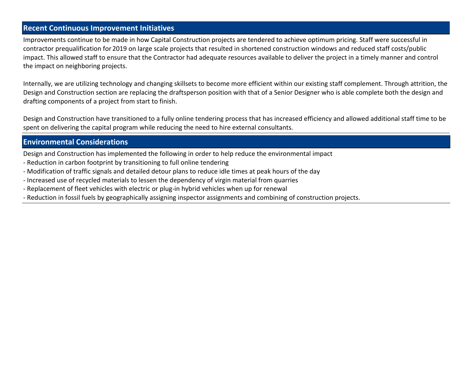### **Recent Continuous Improvement Initiatives**

Improvements continue to be made in how Capital Construction projects are tendered to achieve optimum pricing. Staff were successful in contractor prequalification for 2019 on large scale projects that resulted in shortened construction windows and reduced staff costs/public impact. This allowed staff to ensure that the Contractor had adequate resources available to deliver the project in a timely manner and control the impact on neighboring projects.

Internally, we are utilizing technology and changing skillsets to become more efficient within our existing staff complement. Through attrition, the Design and Construction section are replacing the draftsperson position with that of a Senior Designer who is able complete both the design and drafting components of a project from start to finish.

Design and Construction have transitioned to a fully online tendering process that has increased efficiency and allowed additional staff time to be spent on delivering the capital program while reducing the need to hire external consultants.

### **Environmental Considerations**

Design and Construction has implemented the following in order to help reduce the environmental impact

- Reduction in carbon footprint by transitioning to full online tendering
- Modification of traffic signals and detailed detour plans to reduce idle times at peak hours of the day
- Increased use of recycled materials to lessen the dependency of virgin material from quarries
- Replacement of fleet vehicles with electric or plug-in hybrid vehicles when up for renewal
- Reduction in fossil fuels by geographically assigning inspector assignments and combining of construction projects.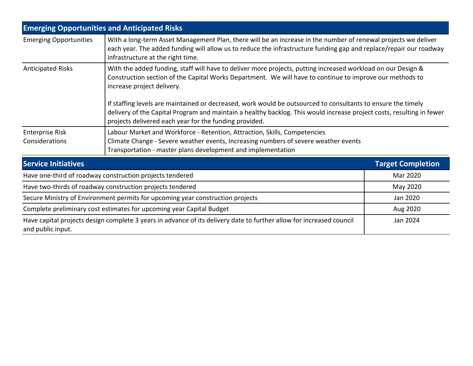|                                                                                | <b>Emerging Opportunities and Anticipated Risks</b>                                                                                                                                                                                                                                                                                                                                                                                                                                                                                                       |                          |  |  |  |
|--------------------------------------------------------------------------------|-----------------------------------------------------------------------------------------------------------------------------------------------------------------------------------------------------------------------------------------------------------------------------------------------------------------------------------------------------------------------------------------------------------------------------------------------------------------------------------------------------------------------------------------------------------|--------------------------|--|--|--|
| <b>Emerging Opportunities</b>                                                  | With a long-term Asset Management Plan, there will be an increase in the number of renewal projects we deliver<br>each year. The added funding will allow us to reduce the infrastructure funding gap and replace/repair our roadway<br>infrastructure at the right time.                                                                                                                                                                                                                                                                                 |                          |  |  |  |
| <b>Anticipated Risks</b>                                                       | With the added funding, staff will have to deliver more projects, putting increased workload on our Design &<br>Construction section of the Capital Works Department. We will have to continue to improve our methods to<br>increase project delivery.<br>If staffing levels are maintained or decreased, work would be outsourced to consultants to ensure the timely<br>delivery of the Capital Program and maintain a healthy backlog. This would increase project costs, resulting in fewer<br>projects delivered each year for the funding provided. |                          |  |  |  |
| <b>Enterprise Risk</b>                                                         | Labour Market and Workforce - Retention, Attraction, Skills, Competencies                                                                                                                                                                                                                                                                                                                                                                                                                                                                                 |                          |  |  |  |
| Considerations                                                                 | Climate Change - Severe weather events, Increasing numbers of severe weather events<br>Transportation - master plans development and implementation                                                                                                                                                                                                                                                                                                                                                                                                       |                          |  |  |  |
| <b>Service Initiatives</b>                                                     |                                                                                                                                                                                                                                                                                                                                                                                                                                                                                                                                                           | <b>Target Completion</b> |  |  |  |
| Have one-third of roadway construction projects tendered                       |                                                                                                                                                                                                                                                                                                                                                                                                                                                                                                                                                           | Mar 2020                 |  |  |  |
| Have two-thirds of roadway construction projects tendered                      |                                                                                                                                                                                                                                                                                                                                                                                                                                                                                                                                                           | May 2020                 |  |  |  |
| Secure Ministry of Environment permits for upcoming year construction projects |                                                                                                                                                                                                                                                                                                                                                                                                                                                                                                                                                           | Jan 2020                 |  |  |  |
| Complete preliminary cost estimates for upcoming year Capital Budget           |                                                                                                                                                                                                                                                                                                                                                                                                                                                                                                                                                           | Aug 2020                 |  |  |  |
| and public input.                                                              | Have capital projects design complete 3 years in advance of its delivery date to further allow for increased council                                                                                                                                                                                                                                                                                                                                                                                                                                      | Jan 2024                 |  |  |  |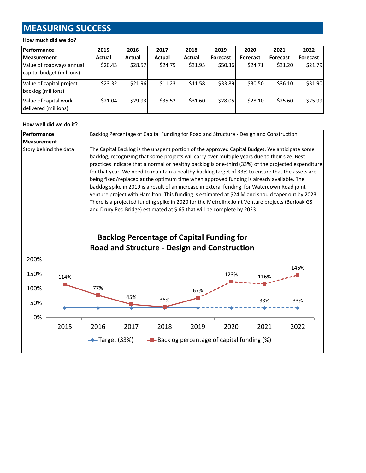# **MEASURING SUCCESS**

#### **How much did we do?**

| <b>Performance</b>                                    | 2015    | 2016    | 2017    | 2018    | 2019     | 2020            | 2021            | 2022     |
|-------------------------------------------------------|---------|---------|---------|---------|----------|-----------------|-----------------|----------|
| <b>Measurement</b>                                    | Actual  | Actual  | Actual  | Actual  | Forecast | <b>Forecast</b> | <b>Forecast</b> | Forecast |
| Value of roadways annual<br>capital budget (millions) | \$20.43 | \$28.57 | \$24.79 | \$31.95 | \$50.36  | \$24.71         | \$31.20         | \$21.79  |
| Value of capital project<br>backlog (millions)        | \$23.32 | \$21.96 | \$11.23 | \$11.58 | \$33.89  | \$30.50         | \$36.10         | \$31.90  |
| Value of capital work<br>delivered (millions)         | \$21.04 | \$29.93 | \$35.52 | \$31.60 | \$28.05  | \$28.10         | \$25.60         | \$25.99  |

#### **How well did we do it?**

| Performance           | Backlog Percentage of Capital Funding for Road and Structure - Design and Construction                                                                                                                                                                                                                                                                                                                                                                                                                                                                                                                                                                                                                                                                                                                                                                                                  |  |  |  |
|-----------------------|-----------------------------------------------------------------------------------------------------------------------------------------------------------------------------------------------------------------------------------------------------------------------------------------------------------------------------------------------------------------------------------------------------------------------------------------------------------------------------------------------------------------------------------------------------------------------------------------------------------------------------------------------------------------------------------------------------------------------------------------------------------------------------------------------------------------------------------------------------------------------------------------|--|--|--|
| <b>Measurement</b>    |                                                                                                                                                                                                                                                                                                                                                                                                                                                                                                                                                                                                                                                                                                                                                                                                                                                                                         |  |  |  |
| Story behind the data | The Capital Backlog is the unspent portion of the approved Capital Budget. We anticipate some<br>backlog, recognizing that some projects will carry over multiple years due to their size. Best<br>practices indicate that a normal or healthy backlog is one-third (33%) of the projected expenditure<br>for that year. We need to maintain a healthy backlog target of 33% to ensure that the assets are<br>being fixed/replaced at the optimum time when approved funding is already available. The<br>backlog spike in 2019 is a result of an increase in exteral funding for Waterdown Road joint<br>venture project with Hamilton. This funding is estimated at \$24 M and should taper out by 2023.<br>There is a projected funding spike in 2020 for the Metrolinx Joint Venture projects (Burloak GS<br>and Drury Ped Bridge) estimated at \$65 that will be complete by 2023. |  |  |  |

## **Backlog Percentage of Capital Funding for Road and Structure - Design and Construction**

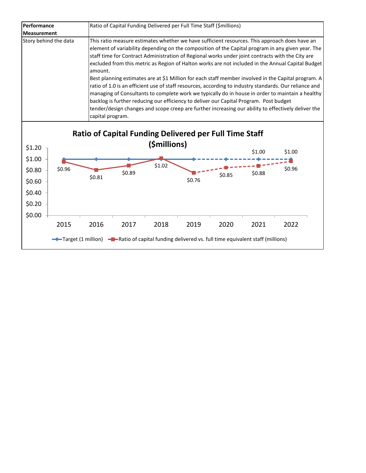